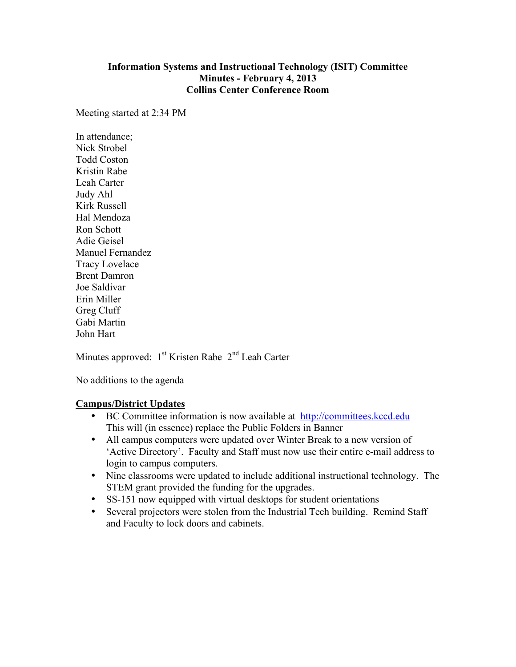#### **Information Systems and Instructional Technology (ISIT) Committee Minutes - February 4, 2013 Collins Center Conference Room**

Meeting started at 2:34 PM

In attendance; Nick Strobel Todd Coston Kristin Rabe Leah Carter Judy Ahl Kirk Russell Hal Mendoza Ron Schott Adie Geisel Manuel Fernandez Tracy Lovelace Brent Damron Joe Saldivar Erin Miller Greg Cluff Gabi Martin John Hart

Minutes approved:  $1<sup>st</sup>$  Kristen Rabe  $2<sup>nd</sup>$  Leah Carter

No additions to the agenda

#### **Campus/District Updates**

- BC Committee information is now available at http://committees.kccd.edu This will (in essence) replace the Public Folders in Banner
- All campus computers were updated over Winter Break to a new version of 'Active Directory'. Faculty and Staff must now use their entire e-mail address to login to campus computers.
- Nine classrooms were updated to include additional instructional technology. The STEM grant provided the funding for the upgrades.
- SS-151 now equipped with virtual desktops for student orientations
- Several projectors were stolen from the Industrial Tech building. Remind Staff and Faculty to lock doors and cabinets.